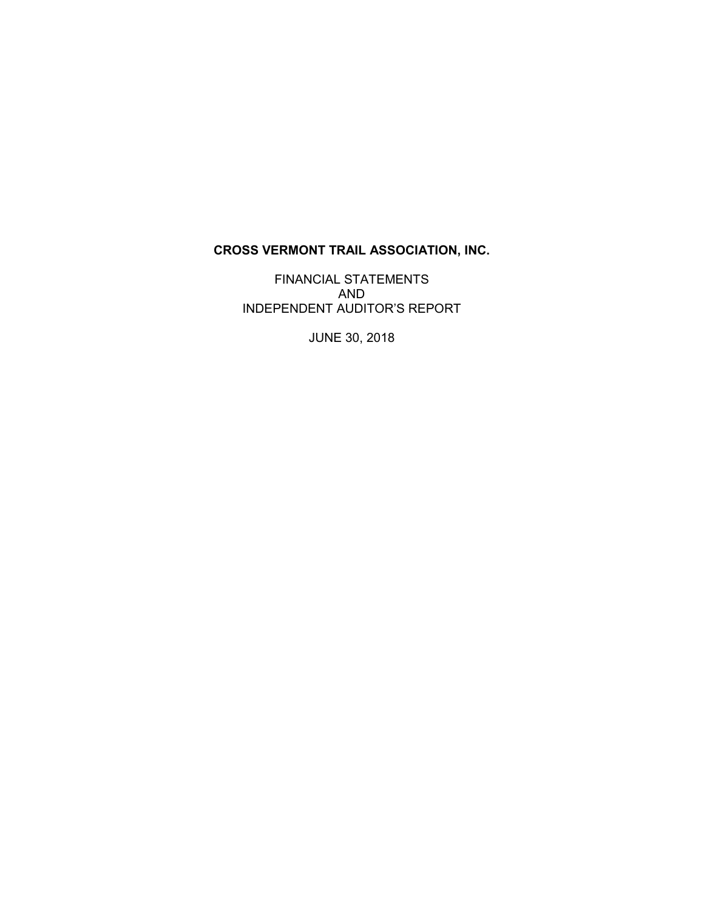# **CROSS VERMONT TRAIL ASSOCIATION, INC.**

FINANCIAL STATEMENTS AND INDEPENDENT AUDITOR'S REPORT

JUNE 30, 2018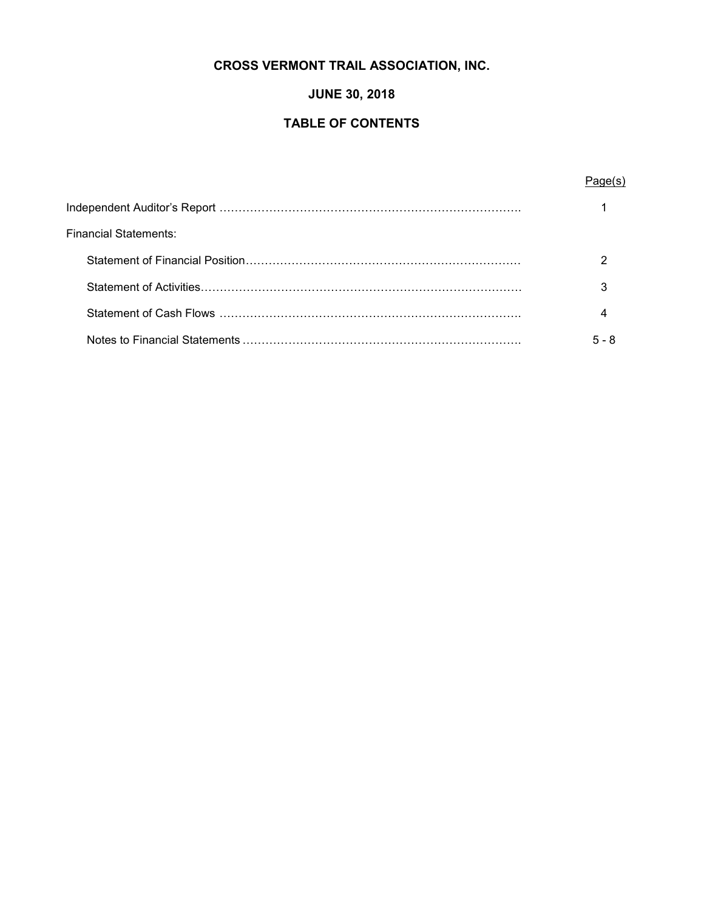# **CROSS VERMONT TRAIL ASSOCIATION, INC.**

# **JUNE 30, 2018**

# **TABLE OF CONTENTS**

### Page(s)

| Independent Auditor's Report …………………………………………………………………… |       |
|---------------------------------------------------------|-------|
| Financial Statements:                                   |       |
|                                                         |       |
|                                                         |       |
|                                                         |       |
|                                                         | 5 - 8 |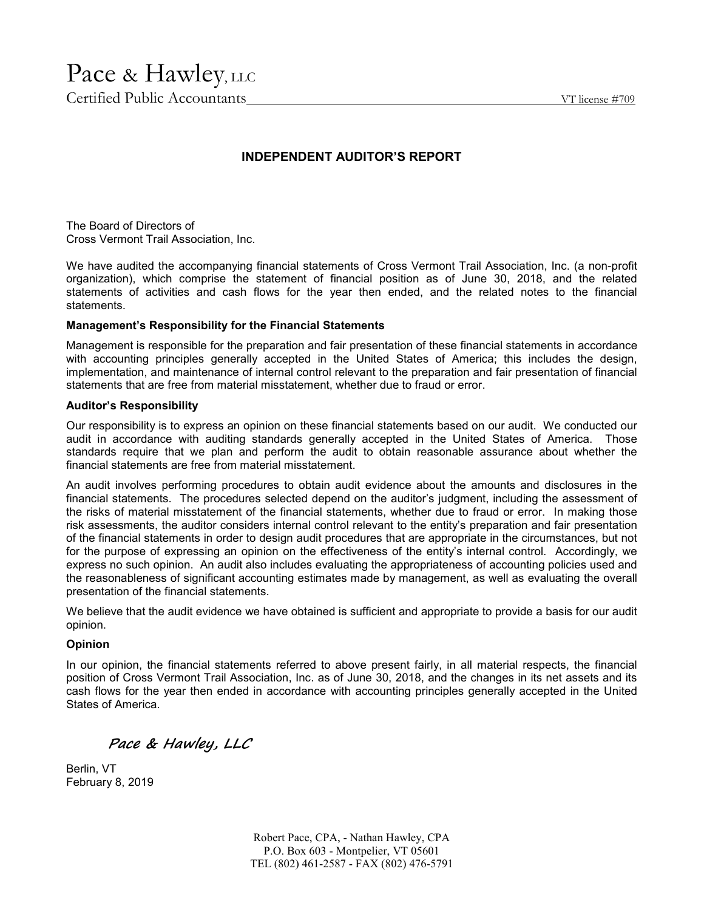# Pace & Hawley, LLC

Certified Public Accountants VT license #709

# **INDEPENDENT AUDITOR'S REPORT**

The Board of Directors of Cross Vermont Trail Association, Inc.

We have audited the accompanying financial statements of Cross Vermont Trail Association, Inc. (a non-profit organization), which comprise the statement of financial position as of June 30, 2018, and the related statements of activities and cash flows for the year then ended, and the related notes to the financial statements.

#### **Management's Responsibility for the Financial Statements**

Management is responsible for the preparation and fair presentation of these financial statements in accordance with accounting principles generally accepted in the United States of America; this includes the design, implementation, and maintenance of internal control relevant to the preparation and fair presentation of financial statements that are free from material misstatement, whether due to fraud or error.

#### **Auditor's Responsibility**

Our responsibility is to express an opinion on these financial statements based on our audit. We conducted our audit in accordance with auditing standards generally accepted in the United States of America. Those standards require that we plan and perform the audit to obtain reasonable assurance about whether the financial statements are free from material misstatement.

An audit involves performing procedures to obtain audit evidence about the amounts and disclosures in the financial statements. The procedures selected depend on the auditor's judgment, including the assessment of the risks of material misstatement of the financial statements, whether due to fraud or error. In making those risk assessments, the auditor considers internal control relevant to the entity's preparation and fair presentation of the financial statements in order to design audit procedures that are appropriate in the circumstances, but not for the purpose of expressing an opinion on the effectiveness of the entity's internal control. Accordingly, we express no such opinion. An audit also includes evaluating the appropriateness of accounting policies used and the reasonableness of significant accounting estimates made by management, as well as evaluating the overall presentation of the financial statements.

We believe that the audit evidence we have obtained is sufficient and appropriate to provide a basis for our audit opinion.

#### **Opinion**

In our opinion, the financial statements referred to above present fairly, in all material respects, the financial position of Cross Vermont Trail Association, Inc. as of June 30, 2018, and the changes in its net assets and its cash flows for the year then ended in accordance with accounting principles generally accepted in the United States of America.

**Pace & Hawley, LLC** 

Berlin, VT February 8, 2019

> Robert Pace, CPA, - Nathan Hawley, CPA P.O. Box 603 - Montpelier, VT 05601 TEL (802) 461-2587 - FAX (802) 476-5791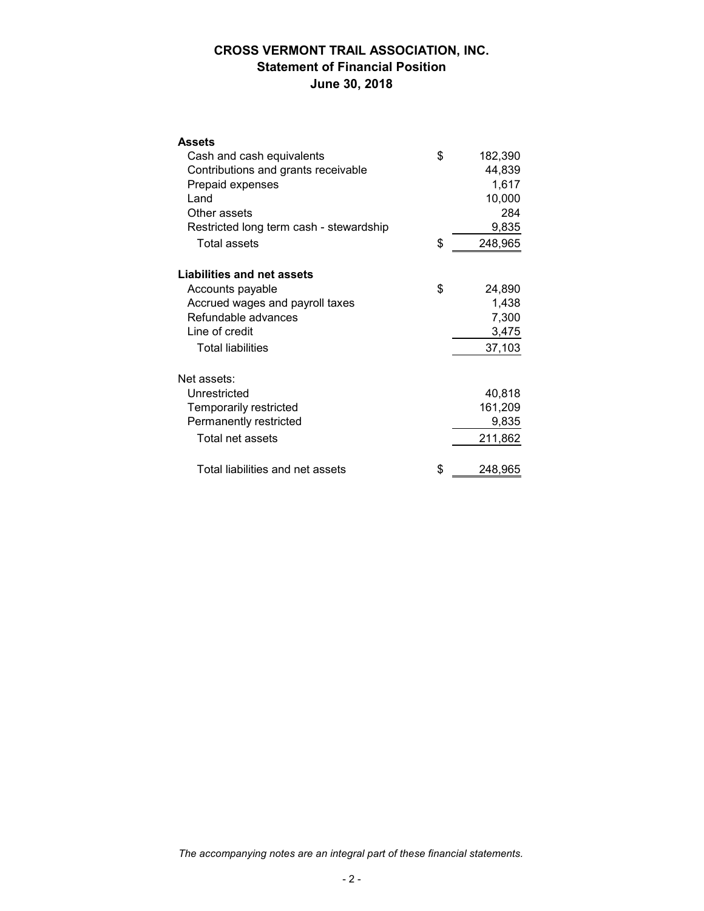# **CROSS VERMONT TRAIL ASSOCIATION, INC. Statement of Financial Position June 30, 2018**

| <b>Assets</b>                           |               |
|-----------------------------------------|---------------|
| Cash and cash equivalents               | \$<br>182,390 |
| Contributions and grants receivable     | 44,839        |
| Prepaid expenses                        | 1,617         |
| I and                                   | 10,000        |
| Other assets                            | 284           |
| Restricted long term cash - stewardship | 9,835         |
| Total assets                            | \$<br>248,965 |
| Liabilities and net assets              |               |
| Accounts payable                        | \$<br>24,890  |
| Accrued wages and payroll taxes         | 1,438         |
| Refundable advances                     | 7,300         |
| Line of credit                          | 3,475         |
| <b>Total liabilities</b>                | 37,103        |
| Net assets:                             |               |
| Unrestricted                            | 40,818        |
| Temporarily restricted                  | 161,209       |
| Permanently restricted                  | 9,835         |
| Total net assets                        | 211,862       |
| Total liabilities and net assets        | \$<br>248,965 |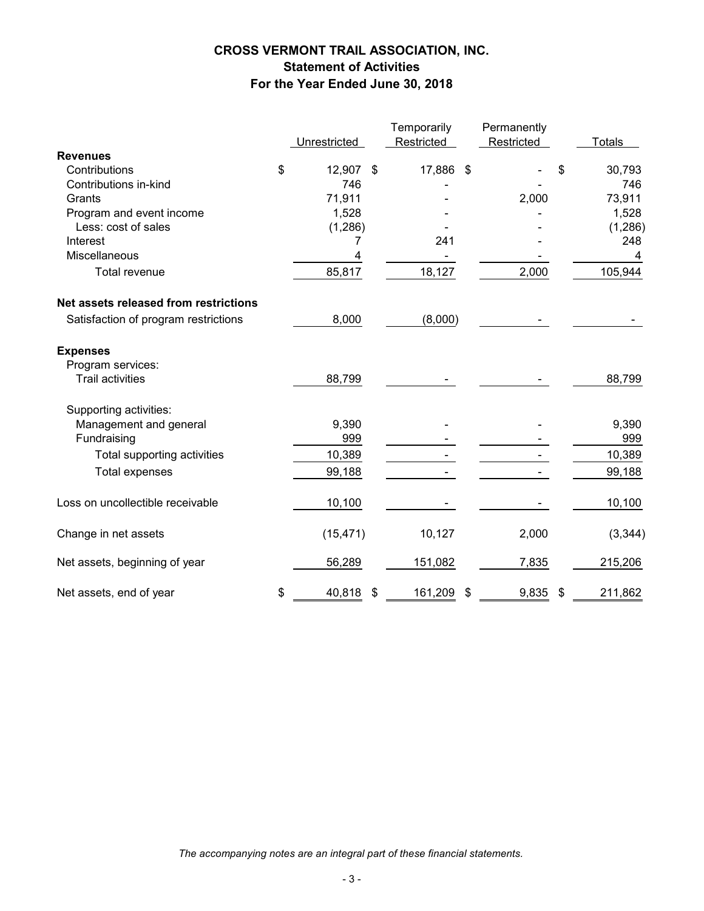# **CROSS VERMONT TRAIL ASSOCIATION, INC. Statement of Activities For the Year Ended June 30, 2018**

|                                       | Unrestricted       | Temporarily<br>Restricted | Permanently<br>Restricted | <b>Totals</b> |
|---------------------------------------|--------------------|---------------------------|---------------------------|---------------|
| <b>Revenues</b>                       |                    |                           |                           |               |
| Contributions                         | \$<br>12,907 \$    | 17,886                    | \$                        | \$<br>30,793  |
| Contributions in-kind                 | 746                |                           |                           | 746           |
| Grants                                | 71,911             |                           | 2,000                     | 73,911        |
| Program and event income              | 1,528              |                           |                           | 1,528         |
| Less: cost of sales                   | (1, 286)           |                           |                           | (1, 286)      |
| Interest                              |                    | 241                       |                           | 248           |
| Miscellaneous                         | 4                  |                           |                           |               |
| Total revenue                         | 85,817             | 18,127                    | 2,000                     | 105,944       |
| Net assets released from restrictions |                    |                           |                           |               |
| Satisfaction of program restrictions  | 8,000              | (8,000)                   |                           |               |
| <b>Expenses</b>                       |                    |                           |                           |               |
| Program services:                     |                    |                           |                           |               |
| <b>Trail activities</b>               | 88,799             |                           |                           | 88,799        |
| Supporting activities:                |                    |                           |                           |               |
| Management and general                | 9,390              |                           |                           | 9,390         |
| Fundraising                           | 999                |                           |                           | 999           |
| Total supporting activities           | 10,389             |                           |                           | 10,389        |
| <b>Total expenses</b>                 | 99,188             |                           |                           | 99,188        |
| Loss on uncollectible receivable      | 10,100             |                           |                           | 10,100        |
| Change in net assets                  | (15, 471)          | 10,127                    | 2,000                     | (3, 344)      |
| Net assets, beginning of year         | 56,289             | 151,082                   | 7,835                     | 215,206       |
| Net assets, end of year               | \$<br>40,818<br>\$ | 161,209                   | \$<br>9,835               | \$<br>211,862 |

*The accompanying notes are an integral part of these financial statements.*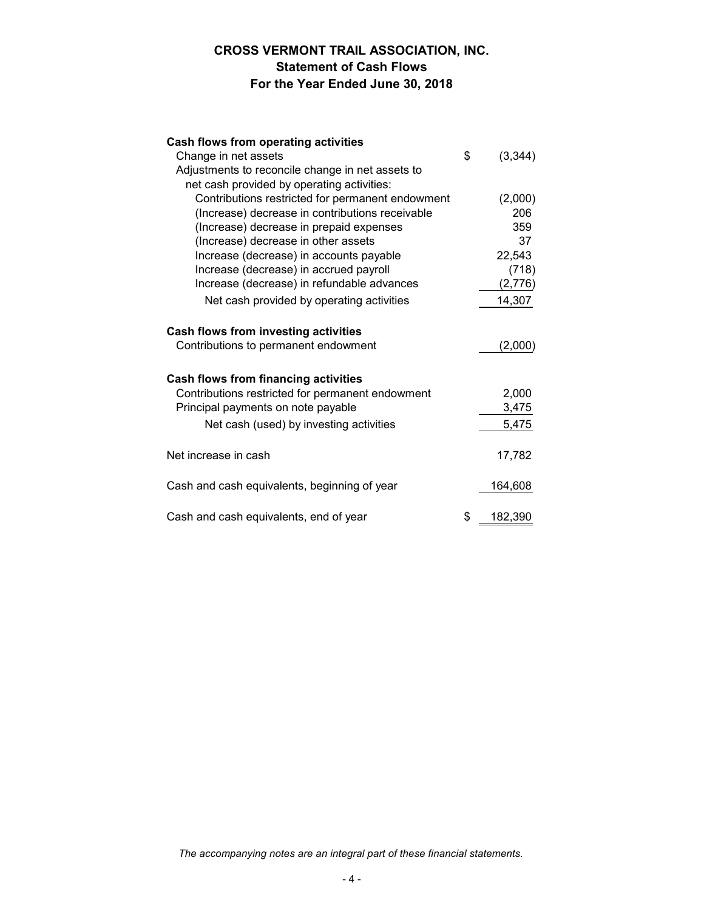## **CROSS VERMONT TRAIL ASSOCIATION, INC. Statement of Cash Flows For the Year Ended June 30, 2018**

| Cash flows from operating activities             |                |
|--------------------------------------------------|----------------|
| Change in net assets                             | \$<br>(3, 344) |
| Adjustments to reconcile change in net assets to |                |
| net cash provided by operating activities:       |                |
| Contributions restricted for permanent endowment | (2,000)        |
| (Increase) decrease in contributions receivable  | 206            |
| (Increase) decrease in prepaid expenses          | 359            |
| (Increase) decrease in other assets              | 37             |
| Increase (decrease) in accounts payable          | 22,543         |
| Increase (decrease) in accrued payroll           | (718)          |
| Increase (decrease) in refundable advances       | (2,776)        |
| Net cash provided by operating activities        | 14,307         |
| Cash flows from investing activities             |                |
| Contributions to permanent endowment             | (2,000)        |
|                                                  |                |
| Cash flows from financing activities             |                |
| Contributions restricted for permanent endowment | 2,000          |
| Principal payments on note payable               | 3,475          |
| Net cash (used) by investing activities          | 5,475          |
|                                                  |                |
| Net increase in cash                             | 17,782         |
| Cash and cash equivalents, beginning of year     | 164,608        |
|                                                  |                |
| Cash and cash equivalents, end of year           | \$<br>182,390  |

#### *The accompanying notes are an integral part of these financial statements.*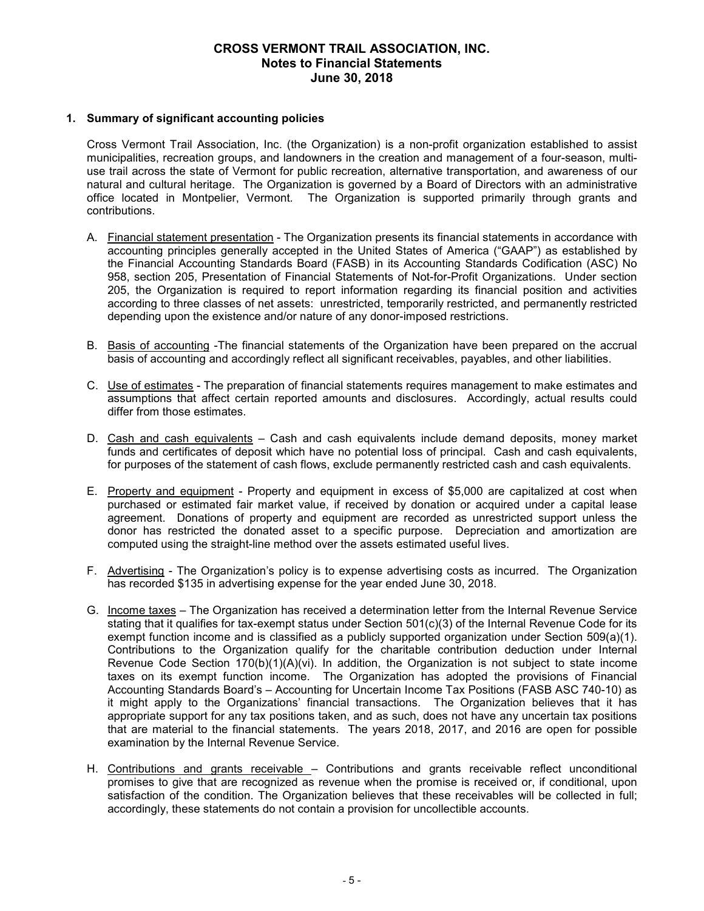#### **1. Summary of significant accounting policies**

Cross Vermont Trail Association, Inc. (the Organization) is a non-profit organization established to assist municipalities, recreation groups, and landowners in the creation and management of a four-season, multiuse trail across the state of Vermont for public recreation, alternative transportation, and awareness of our natural and cultural heritage. The Organization is governed by a Board of Directors with an administrative office located in Montpelier, Vermont. The Organization is supported primarily through grants and contributions.

- A. Financial statement presentation The Organization presents its financial statements in accordance with accounting principles generally accepted in the United States of America ("GAAP") as established by the Financial Accounting Standards Board (FASB) in its Accounting Standards Codification (ASC) No 958, section 205, Presentation of Financial Statements of Not-for-Profit Organizations. Under section 205, the Organization is required to report information regarding its financial position and activities according to three classes of net assets: unrestricted, temporarily restricted, and permanently restricted depending upon the existence and/or nature of any donor-imposed restrictions.
- B. Basis of accounting -The financial statements of the Organization have been prepared on the accrual basis of accounting and accordingly reflect all significant receivables, payables, and other liabilities.
- C. Use of estimates The preparation of financial statements requires management to make estimates and assumptions that affect certain reported amounts and disclosures. Accordingly, actual results could differ from those estimates.
- D. Cash and cash equivalents Cash and cash equivalents include demand deposits, money market funds and certificates of deposit which have no potential loss of principal. Cash and cash equivalents, for purposes of the statement of cash flows, exclude permanently restricted cash and cash equivalents.
- E. Property and equipment Property and equipment in excess of \$5,000 are capitalized at cost when purchased or estimated fair market value, if received by donation or acquired under a capital lease agreement. Donations of property and equipment are recorded as unrestricted support unless the donor has restricted the donated asset to a specific purpose. Depreciation and amortization are computed using the straight-line method over the assets estimated useful lives.
- F. Advertising The Organization's policy is to expense advertising costs as incurred. The Organization has recorded \$135 in advertising expense for the year ended June 30, 2018.
- G. Income taxes The Organization has received a determination letter from the Internal Revenue Service stating that it qualifies for tax-exempt status under Section 501(c)(3) of the Internal Revenue Code for its exempt function income and is classified as a publicly supported organization under Section 509(a)(1). Contributions to the Organization qualify for the charitable contribution deduction under Internal Revenue Code Section  $170(b)(1)(A)(vi)$ . In addition, the Organization is not subject to state income taxes on its exempt function income. The Organization has adopted the provisions of Financial Accounting Standards Board's – Accounting for Uncertain Income Tax Positions (FASB ASC 740-10) as it might apply to the Organizations' financial transactions. The Organization believes that it has appropriate support for any tax positions taken, and as such, does not have any uncertain tax positions that are material to the financial statements. The years 2018, 2017, and 2016 are open for possible examination by the Internal Revenue Service.
- H. Contributions and grants receivable Contributions and grants receivable reflect unconditional promises to give that are recognized as revenue when the promise is received or, if conditional, upon satisfaction of the condition. The Organization believes that these receivables will be collected in full; accordingly, these statements do not contain a provision for uncollectible accounts.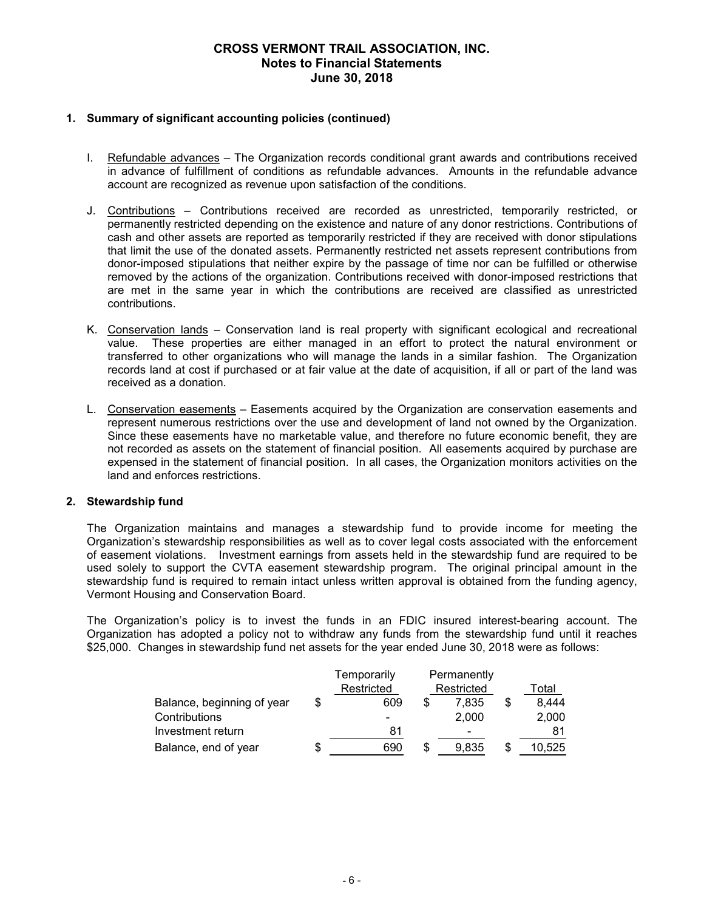#### **1. Summary of significant accounting policies (continued)**

- I. Refundable advances The Organization records conditional grant awards and contributions received in advance of fulfillment of conditions as refundable advances. Amounts in the refundable advance account are recognized as revenue upon satisfaction of the conditions.
- J. Contributions Contributions received are recorded as unrestricted, temporarily restricted, or permanently restricted depending on the existence and nature of any donor restrictions. Contributions of cash and other assets are reported as temporarily restricted if they are received with donor stipulations that limit the use of the donated assets. Permanently restricted net assets represent contributions from donor-imposed stipulations that neither expire by the passage of time nor can be fulfilled or otherwise removed by the actions of the organization. Contributions received with donor-imposed restrictions that are met in the same year in which the contributions are received are classified as unrestricted contributions.
- K. Conservation lands Conservation land is real property with significant ecological and recreational value. These properties are either managed in an effort to protect the natural environment or transferred to other organizations who will manage the lands in a similar fashion. The Organization records land at cost if purchased or at fair value at the date of acquisition, if all or part of the land was received as a donation.
- L. Conservation easements Easements acquired by the Organization are conservation easements and represent numerous restrictions over the use and development of land not owned by the Organization. Since these easements have no marketable value, and therefore no future economic benefit, they are not recorded as assets on the statement of financial position. All easements acquired by purchase are expensed in the statement of financial position. In all cases, the Organization monitors activities on the land and enforces restrictions.

#### **2. Stewardship fund**

The Organization maintains and manages a stewardship fund to provide income for meeting the Organization's stewardship responsibilities as well as to cover legal costs associated with the enforcement of easement violations. Investment earnings from assets held in the stewardship fund are required to be used solely to support the CVTA easement stewardship program. The original principal amount in the stewardship fund is required to remain intact unless written approval is obtained from the funding agency, Vermont Housing and Conservation Board.

The Organization's policy is to invest the funds in an FDIC insured interest-bearing account. The Organization has adopted a policy not to withdraw any funds from the stewardship fund until it reaches \$25,000. Changes in stewardship fund net assets for the year ended June 30, 2018 were as follows:

|                            |    | Temporarily<br>Restricted | Permanently<br>Restricted |     | Total  |
|----------------------------|----|---------------------------|---------------------------|-----|--------|
| Balance, beginning of year | S  | 609                       | 7.835                     |     | 8.444  |
| Contributions              |    | $\blacksquare$            | 2.000                     |     | 2,000  |
| Investment return          |    | 81                        | -                         |     | 81     |
| Balance, end of year       | \$ | 690                       | 9.835                     | SS. | 10.525 |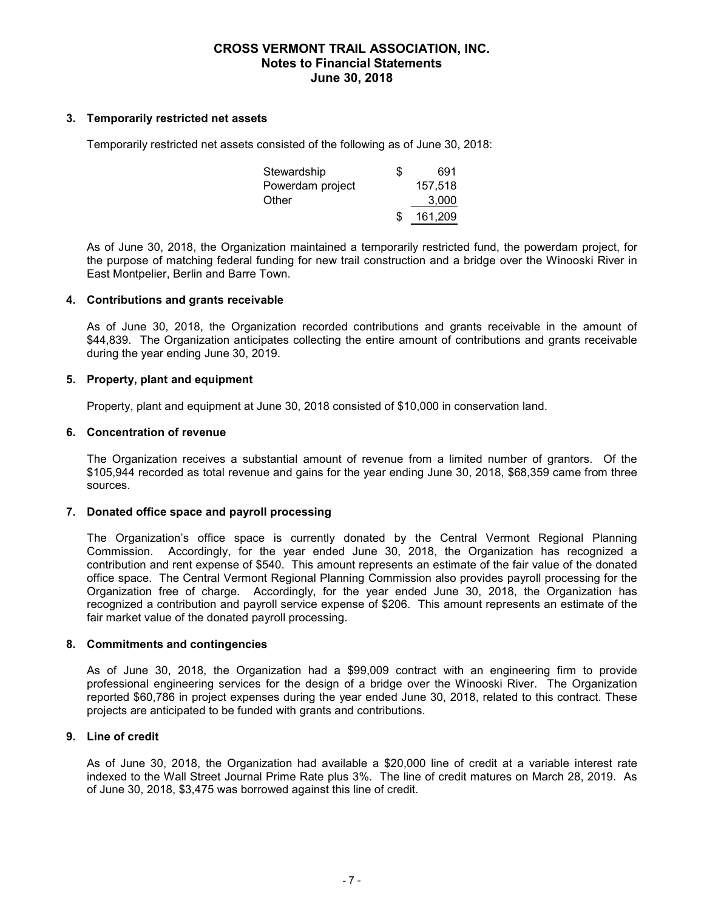#### **3. Temporarily restricted net assets**

Temporarily restricted net assets consisted of the following as of June 30, 2018:

| Stewardship      | S   | 691     |
|------------------|-----|---------|
| Powerdam project |     | 157.518 |
| Other            |     | 3,000   |
|                  | \$. | 161,209 |

As of June 30, 2018, the Organization maintained a temporarily restricted fund, the powerdam project, for the purpose of matching federal funding for new trail construction and a bridge over the Winooski River in East Montpelier, Berlin and Barre Town.

#### **4. Contributions and grants receivable**

As of June 30, 2018, the Organization recorded contributions and grants receivable in the amount of \$44,839. The Organization anticipates collecting the entire amount of contributions and grants receivable during the year ending June 30, 2019.

#### **5. Property, plant and equipment**

Property, plant and equipment at June 30, 2018 consisted of \$10,000 in conservation land.

#### **6. Concentration of revenue**

The Organization receives a substantial amount of revenue from a limited number of grantors. Of the \$105,944 recorded as total revenue and gains for the year ending June 30, 2018, \$68,359 came from three sources.

#### **7. Donated office space and payroll processing**

The Organization's office space is currently donated by the Central Vermont Regional Planning Commission. Accordingly, for the year ended June 30, 2018, the Organization has recognized a contribution and rent expense of \$540. This amount represents an estimate of the fair value of the donated office space. The Central Vermont Regional Planning Commission also provides payroll processing for the Organization free of charge. Accordingly, for the year ended June 30, 2018, the Organization has recognized a contribution and payroll service expense of \$206. This amount represents an estimate of the fair market value of the donated payroll processing.

#### **8. Commitments and contingencies**

As of June 30, 2018, the Organization had a \$99,009 contract with an engineering firm to provide professional engineering services for the design of a bridge over the Winooski River. The Organization reported \$60,786 in project expenses during the year ended June 30, 2018, related to this contract. These projects are anticipated to be funded with grants and contributions.

#### **9. Line of credit**

As of June 30, 2018, the Organization had available a \$20,000 line of credit at a variable interest rate indexed to the Wall Street Journal Prime Rate plus 3%. The line of credit matures on March 28, 2019. As of June 30, 2018, \$3,475 was borrowed against this line of credit.